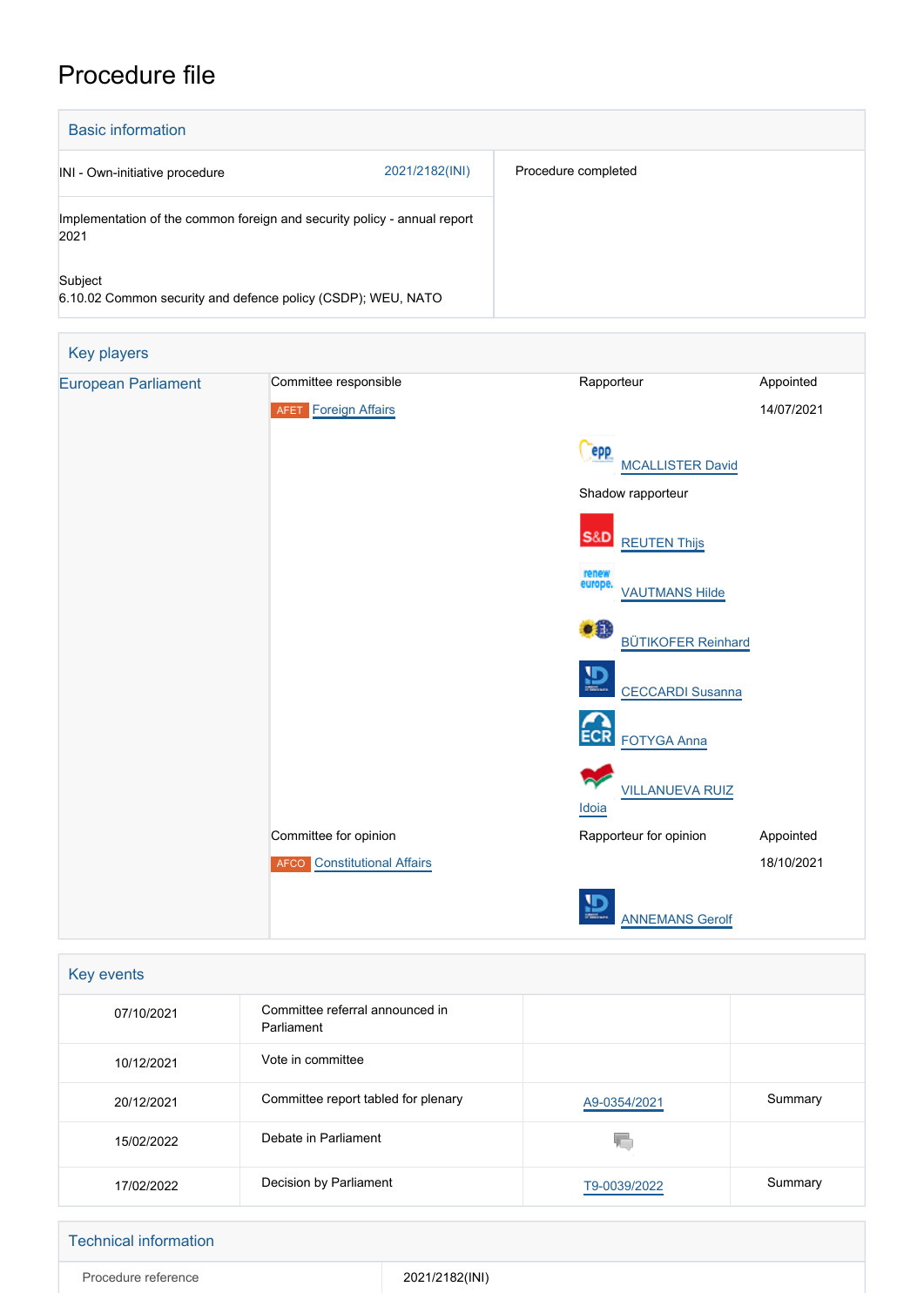# Procedure file

| <b>Basic information</b>                                                         |                |                     |
|----------------------------------------------------------------------------------|----------------|---------------------|
| INI - Own-initiative procedure                                                   | 2021/2182(INI) | Procedure completed |
| Implementation of the common foreign and security policy - annual report<br>2021 |                |                     |
| Subject<br>6.10.02 Common security and defence policy (CSDP); WEU, NATO          |                |                     |

| Key players                |                                    |                                           |            |
|----------------------------|------------------------------------|-------------------------------------------|------------|
| <b>European Parliament</b> | Committee responsible              | Rapporteur                                | Appointed  |
|                            | <b>AFET</b> Foreign Affairs        |                                           | 14/07/2021 |
|                            |                                    | <b>epp</b><br><b>MCALLISTER David</b>     |            |
|                            |                                    | Shadow rapporteur                         |            |
|                            |                                    | <b>S&amp;D</b><br><b>REUTEN Thijs</b>     |            |
|                            |                                    | renew<br>europe.<br><b>VAUTMANS Hilde</b> |            |
|                            |                                    | ∙₿<br><b>BÜTIKOFER Reinhard</b>           |            |
|                            |                                    | $\mathbf{D}$<br><b>CECCARDI Susanna</b>   |            |
|                            |                                    | <b>ECR</b><br><b>FOTYGA Anna</b>          |            |
|                            |                                    | <b>VILLANUEVA RUIZ</b><br><b>Idoia</b>    |            |
|                            | Committee for opinion              | Rapporteur for opinion                    | Appointed  |
|                            | <b>AFCO</b> Constitutional Affairs |                                           | 18/10/2021 |
|                            |                                    | <b>ANNEMANS Gerolf</b>                    |            |

| Key events |                                               |              |         |  |
|------------|-----------------------------------------------|--------------|---------|--|
| 07/10/2021 | Committee referral announced in<br>Parliament |              |         |  |
| 10/12/2021 | Vote in committee                             |              |         |  |
| 20/12/2021 | Committee report tabled for plenary           | A9-0354/2021 | Summary |  |
| 15/02/2022 | Debate in Parliament                          |              |         |  |
| 17/02/2022 | Decision by Parliament                        | T9-0039/2022 | Summary |  |

## Technical information

Procedure reference 2021/2182(INI)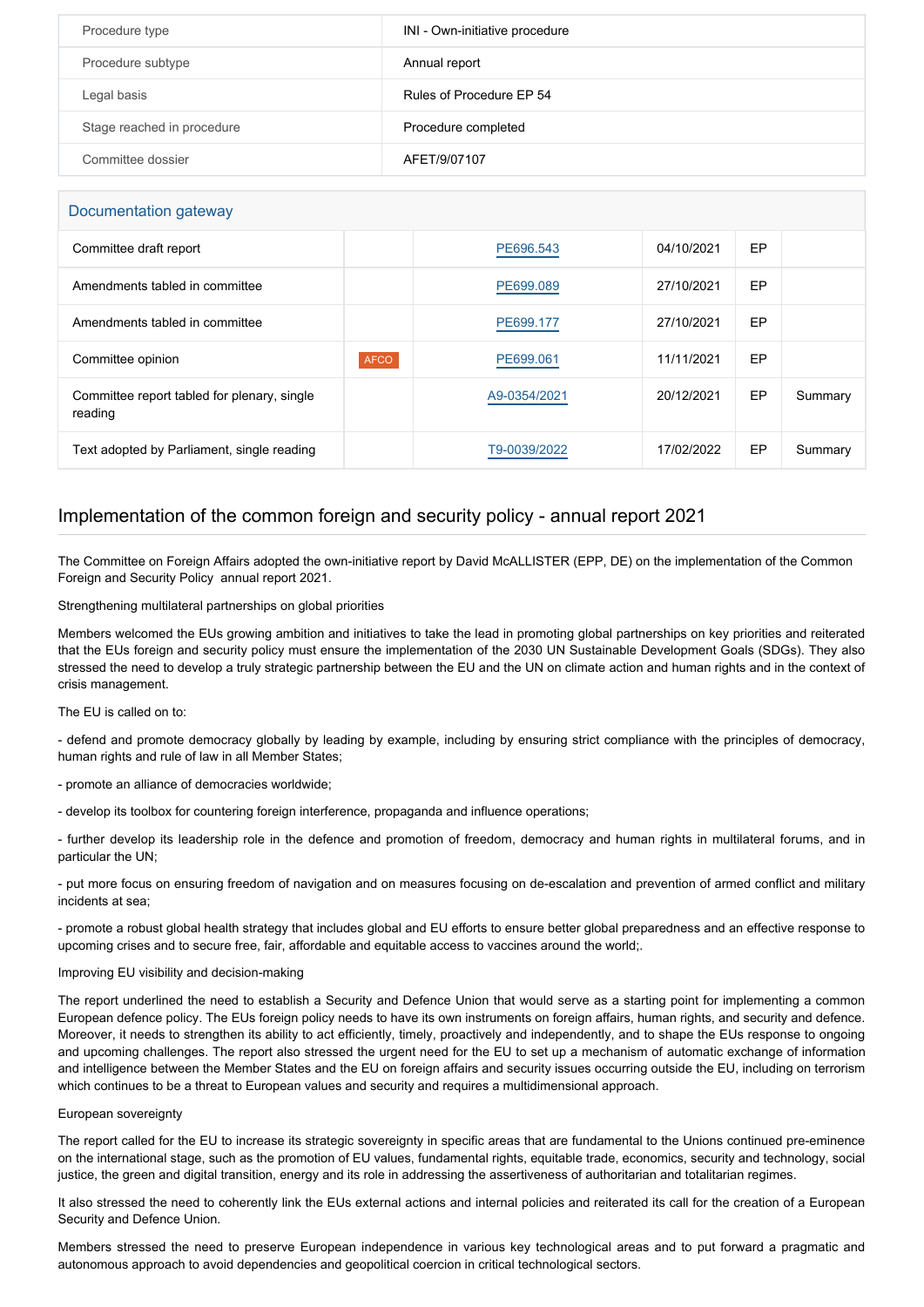| Procedure type             | INI - Own-initiative procedure |
|----------------------------|--------------------------------|
| Procedure subtype          | Annual report                  |
| Legal basis                | Rules of Procedure EP 54       |
| Stage reached in procedure | Procedure completed            |
| Committee dossier          | AFET/9/07107                   |

#### Documentation gateway

| Committee draft report                                 |             | PE696.543    | 04/10/2021 | EP |         |
|--------------------------------------------------------|-------------|--------------|------------|----|---------|
| Amendments tabled in committee                         |             | PE699.089    | 27/10/2021 | EP |         |
| Amendments tabled in committee                         |             | PE699.177    | 27/10/2021 | EP |         |
| Committee opinion                                      | <b>AFCO</b> | PE699.061    | 11/11/2021 | EP |         |
| Committee report tabled for plenary, single<br>reading |             | A9-0354/2021 | 20/12/2021 | EP | Summary |
| Text adopted by Parliament, single reading             |             | T9-0039/2022 | 17/02/2022 | EP | Summary |

### Implementation of the common foreign and security policy - annual report 2021

The Committee on Foreign Affairs adopted the own-initiative report by David McALLISTER (EPP, DE) on the implementation of the Common Foreign and Security Policy annual report 2021.

Strengthening multilateral partnerships on global priorities

Members welcomed the EUs growing ambition and initiatives to take the lead in promoting global partnerships on key priorities and reiterated that the EUs foreign and security policy must ensure the implementation of the 2030 UN Sustainable Development Goals (SDGs). They also stressed the need to develop a truly strategic partnership between the EU and the UN on climate action and human rights and in the context of crisis management.

The EU is called on to:

- defend and promote democracy globally by leading by example, including by ensuring strict compliance with the principles of democracy, human rights and rule of law in all Member States;

- promote an alliance of democracies worldwide;

- develop its toolbox for countering foreign interference, propaganda and influence operations;

- further develop its leadership role in the defence and promotion of freedom, democracy and human rights in multilateral forums, and in particular the UN;

- put more focus on ensuring freedom of navigation and on measures focusing on de-escalation and prevention of armed conflict and military incidents at sea;

- promote a robust global health strategy that includes global and EU efforts to ensure better global preparedness and an effective response to upcoming crises and to secure free, fair, affordable and equitable access to vaccines around the world;.

#### Improving EU visibility and decision-making

The report underlined the need to establish a Security and Defence Union that would serve as a starting point for implementing a common European defence policy. The EUs foreign policy needs to have its own instruments on foreign affairs, human rights, and security and defence. Moreover, it needs to strengthen its ability to act efficiently, timely, proactively and independently, and to shape the EUs response to ongoing and upcoming challenges. The report also stressed the urgent need for the EU to set up a mechanism of automatic exchange of information and intelligence between the Member States and the EU on foreign affairs and security issues occurring outside the EU, including on terrorism which continues to be a threat to European values and security and requires a multidimensional approach.

#### European sovereignty

The report called for the EU to increase its strategic sovereignty in specific areas that are fundamental to the Unions continued pre-eminence on the international stage, such as the promotion of EU values, fundamental rights, equitable trade, economics, security and technology, social justice, the green and digital transition, energy and its role in addressing the assertiveness of authoritarian and totalitarian regimes.

It also stressed the need to coherently link the EUs external actions and internal policies and reiterated its call for the creation of a European Security and Defence Union.

Members stressed the need to preserve European independence in various key technological areas and to put forward a pragmatic and autonomous approach to avoid dependencies and geopolitical coercion in critical technological sectors.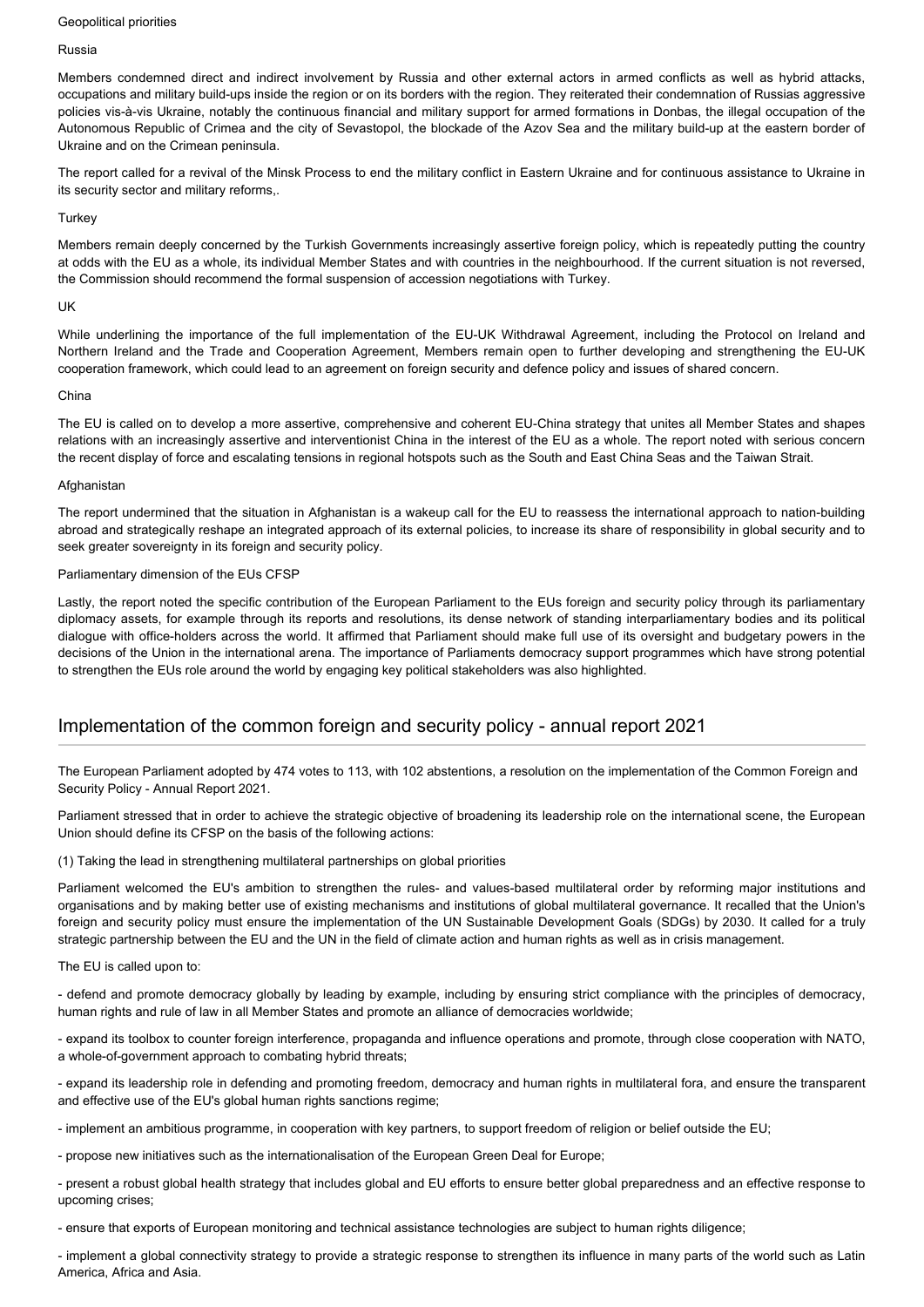#### Geopolitical priorities

#### Russia

Members condemned direct and indirect involvement by Russia and other external actors in armed conflicts as well as hybrid attacks, occupations and military build-ups inside the region or on its borders with the region. They reiterated their condemnation of Russias aggressive policies vis-à-vis Ukraine, notably the continuous financial and military support for armed formations in Donbas, the illegal occupation of the Autonomous Republic of Crimea and the city of Sevastopol, the blockade of the Azov Sea and the military build-up at the eastern border of Ukraine and on the Crimean peninsula.

The report called for a revival of the Minsk Process to end the military conflict in Eastern Ukraine and for continuous assistance to Ukraine in its security sector and military reforms,.

#### **Turkey**

Members remain deeply concerned by the Turkish Governments increasingly assertive foreign policy, which is repeatedly putting the country at odds with the EU as a whole, its individual Member States and with countries in the neighbourhood. If the current situation is not reversed, the Commission should recommend the formal suspension of accession negotiations with Turkey.

#### UK

While underlining the importance of the full implementation of the EU-UK Withdrawal Agreement, including the Protocol on Ireland and Northern Ireland and the Trade and Cooperation Agreement, Members remain open to further developing and strengthening the EU-UK cooperation framework, which could lead to an agreement on foreign security and defence policy and issues of shared concern.

#### China

The EU is called on to develop a more assertive, comprehensive and coherent EU-China strategy that unites all Member States and shapes relations with an increasingly assertive and interventionist China in the interest of the EU as a whole. The report noted with serious concern the recent display of force and escalating tensions in regional hotspots such as the South and East China Seas and the Taiwan Strait.

#### Afghanistan

The report undermined that the situation in Afghanistan is a wakeup call for the EU to reassess the international approach to nation-building abroad and strategically reshape an integrated approach of its external policies, to increase its share of responsibility in global security and to seek greater sovereignty in its foreign and security policy.

#### Parliamentary dimension of the EUs CFSP

Lastly, the report noted the specific contribution of the European Parliament to the EUs foreign and security policy through its parliamentary diplomacy assets, for example through its reports and resolutions, its dense network of standing interparliamentary bodies and its political dialogue with office-holders across the world. It affirmed that Parliament should make full use of its oversight and budgetary powers in the decisions of the Union in the international arena. The importance of Parliaments democracy support programmes which have strong potential to strengthen the EUs role around the world by engaging key political stakeholders was also highlighted.

## Implementation of the common foreign and security policy - annual report 2021

The European Parliament adopted by 474 votes to 113, with 102 abstentions, a resolution on the implementation of the Common Foreign and Security Policy - Annual Report 2021.

Parliament stressed that in order to achieve the strategic objective of broadening its leadership role on the international scene, the European Union should define its CFSP on the basis of the following actions:

(1) Taking the lead in strengthening multilateral partnerships on global priorities

Parliament welcomed the EU's ambition to strengthen the rules- and values-based multilateral order by reforming major institutions and organisations and by making better use of existing mechanisms and institutions of global multilateral governance. It recalled that the Union's foreign and security policy must ensure the implementation of the UN Sustainable Development Goals (SDGs) by 2030. It called for a truly strategic partnership between the EU and the UN in the field of climate action and human rights as well as in crisis management.

#### The EU is called upon to:

- defend and promote democracy globally by leading by example, including by ensuring strict compliance with the principles of democracy, human rights and rule of law in all Member States and promote an alliance of democracies worldwide;

- expand its toolbox to counter foreign interference, propaganda and influence operations and promote, through close cooperation with NATO, a whole-of-government approach to combating hybrid threats;

- expand its leadership role in defending and promoting freedom, democracy and human rights in multilateral fora, and ensure the transparent and effective use of the EU's global human rights sanctions regime;

- implement an ambitious programme, in cooperation with key partners, to support freedom of religion or belief outside the EU;

- propose new initiatives such as the internationalisation of the European Green Deal for Europe;

- present a robust global health strategy that includes global and EU efforts to ensure better global preparedness and an effective response to upcoming crises;

- ensure that exports of European monitoring and technical assistance technologies are subject to human rights diligence;

- implement a global connectivity strategy to provide a strategic response to strengthen its influence in many parts of the world such as Latin America, Africa and Asia.